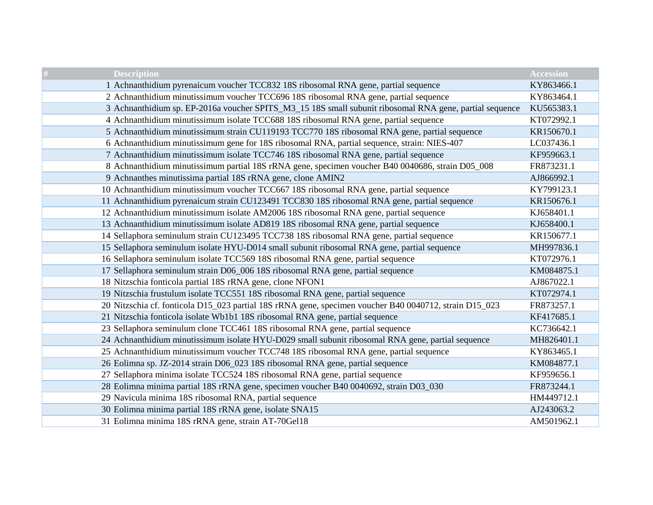| <b>Description</b>                                                                                      | <b>Accession</b> |
|---------------------------------------------------------------------------------------------------------|------------------|
| 1 Achnanthidium pyrenaicum voucher TCC832 18S ribosomal RNA gene, partial sequence                      | KY863466.1       |
| 2 Achnanthidium minutissimum voucher TCC696 18S ribosomal RNA gene, partial sequence                    | KY863464.1       |
| 3 Achnanthidium sp. EP-2016a voucher SPITS_M3_15 18S small subunit ribosomal RNA gene, partial sequence | KU565383.1       |
| 4 Achnanthidium minutissimum isolate TCC688 18S ribosomal RNA gene, partial sequence                    | KT072992.1       |
| 5 Achnanthidium minutissimum strain CU119193 TCC770 18S ribosomal RNA gene, partial sequence            | KR150670.1       |
| 6 Achnanthidium minutissimum gene for 18S ribosomal RNA, partial sequence, strain: NIES-407             | LC037436.1       |
| 7 Achnanthidium minutissimum isolate TCC746 18S ribosomal RNA gene, partial sequence                    | KF959663.1       |
| 8 Achnanthidium minutissimum partial 18S rRNA gene, specimen voucher B40 0040686, strain D05_008        | FR873231.1       |
| 9 Achnanthes minutissima partial 18S rRNA gene, clone AMIN2                                             | AJ866992.1       |
| 10 Achnanthidium minutissimum voucher TCC667 18S ribosomal RNA gene, partial sequence                   | KY799123.1       |
| 11 Achnanthidium pyrenaicum strain CU123491 TCC830 18S ribosomal RNA gene, partial sequence             | KR150676.1       |
| 12 Achnanthidium minutissimum isolate AM2006 18S ribosomal RNA gene, partial sequence                   | KJ658401.1       |
| 13 Achnanthidium minutissimum isolate AD819 18S ribosomal RNA gene, partial sequence                    | KJ658400.1       |
| 14 Sellaphora seminulum strain CU123495 TCC738 18S ribosomal RNA gene, partial sequence                 | KR150677.1       |
| 15 Sellaphora seminulum isolate HYU-D014 small subunit ribosomal RNA gene, partial sequence             | MH997836.1       |
| 16 Sellaphora seminulum isolate TCC569 18S ribosomal RNA gene, partial sequence                         | KT072976.1       |
| 17 Sellaphora seminulum strain D06_006 18S ribosomal RNA gene, partial sequence                         | KM084875.1       |
| 18 Nitzschia fonticola partial 18S rRNA gene, clone NFON1                                               | AJ867022.1       |
| 19 Nitzschia frustulum isolate TCC551 18S ribosomal RNA gene, partial sequence                          | KT072974.1       |
| 20 Nitzschia cf. fonticola D15_023 partial 18S rRNA gene, specimen voucher B40 0040712, strain D15_023  | FR873257.1       |
| 21 Nitzschia fonticola isolate Wb1b1 18S ribosomal RNA gene, partial sequence                           | KF417685.1       |
| 23 Sellaphora seminulum clone TCC461 18S ribosomal RNA gene, partial sequence                           | KC736642.1       |
| 24 Achnanthidium minutissimum isolate HYU-D029 small subunit ribosomal RNA gene, partial sequence       | MH826401.1       |
| 25 Achnanthidium minutissimum voucher TCC748 18S ribosomal RNA gene, partial sequence                   | KY863465.1       |
| 26 Eolimna sp. JZ-2014 strain D06_023 18S ribosomal RNA gene, partial sequence                          | KM084877.1       |
| 27 Sellaphora minima isolate TCC524 18S ribosomal RNA gene, partial sequence                            | KF959656.1       |
| 28 Eolimna minima partial 18S rRNA gene, specimen voucher B40 0040692, strain D03_030                   | FR873244.1       |
| 29 Navicula minima 18S ribosomal RNA, partial sequence                                                  | HM449712.1       |
| 30 Eolimna minima partial 18S rRNA gene, isolate SNA15                                                  | AJ243063.2       |
| 31 Eolimna minima 18S rRNA gene, strain AT-70Gel18                                                      | AM501962.1       |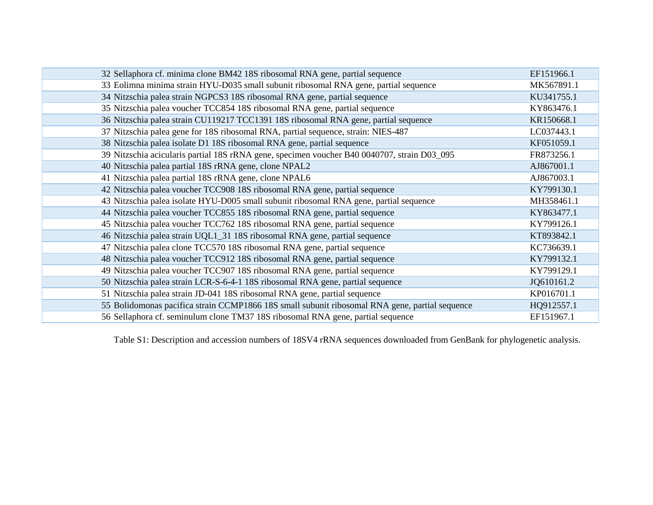| 32 Sellaphora cf. minima clone BM42 18S ribosomal RNA gene, partial sequence                   | EF151966.1 |
|------------------------------------------------------------------------------------------------|------------|
| 33 Eolimna minima strain HYU-D035 small subunit ribosomal RNA gene, partial sequence           | MK567891.1 |
| 34 Nitzschia palea strain NGPCS3 18S ribosomal RNA gene, partial sequence                      | KU341755.1 |
| 35 Nitzschia palea voucher TCC854 18S ribosomal RNA gene, partial sequence                     | KY863476.1 |
| 36 Nitzschia palea strain CU119217 TCC1391 18S ribosomal RNA gene, partial sequence            | KR150668.1 |
| 37 Nitzschia palea gene for 18S ribosomal RNA, partial sequence, strain: NIES-487              | LC037443.1 |
| 38 Nitzschia palea isolate D1 18S ribosomal RNA gene, partial sequence                         | KF051059.1 |
| 39 Nitzschia acicularis partial 18S rRNA gene, specimen voucher B40 0040707, strain D03_095    | FR873256.1 |
| 40 Nitzschia palea partial 18S rRNA gene, clone NPAL2                                          | AJ867001.1 |
| 41 Nitzschia palea partial 18S rRNA gene, clone NPAL6                                          | AJ867003.1 |
| 42 Nitzschia palea voucher TCC908 18S ribosomal RNA gene, partial sequence                     | KY799130.1 |
| 43 Nitzschia palea isolate HYU-D005 small subunit ribosomal RNA gene, partial sequence         | MH358461.1 |
| 44 Nitzschia palea voucher TCC855 18S ribosomal RNA gene, partial sequence                     | KY863477.1 |
| 45 Nitzschia palea voucher TCC762 18S ribosomal RNA gene, partial sequence                     | KY799126.1 |
| 46 Nitzschia palea strain UQL1_31 18S ribosomal RNA gene, partial sequence                     | KT893842.1 |
| 47 Nitzschia palea clone TCC570 18S ribosomal RNA gene, partial sequence                       | KC736639.1 |
| 48 Nitzschia palea voucher TCC912 18S ribosomal RNA gene, partial sequence                     | KY799132.1 |
| 49 Nitzschia palea voucher TCC907 18S ribosomal RNA gene, partial sequence                     | KY799129.1 |
| 50 Nitzschia palea strain LCR-S-6-4-1 18S ribosomal RNA gene, partial sequence                 | JQ610161.2 |
| 51 Nitzschia palea strain JD-041 18S ribosomal RNA gene, partial sequence                      | KP016701.1 |
| 55 Bolidomonas pacifica strain CCMP1866 18S small subunit ribosomal RNA gene, partial sequence | HQ912557.1 |
| 56 Sellaphora cf. seminulum clone TM37 18S ribosomal RNA gene, partial sequence                | EF151967.1 |

Table S1: Description and accession numbers of 18SV4 rRNA sequences downloaded from GenBank for phylogenetic analysis.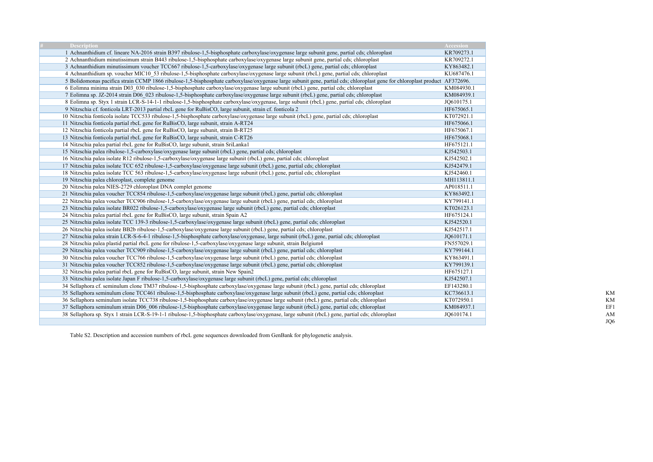| <b>Description</b>                                                                                                                                                          | <b>Accession</b> |
|-----------------------------------------------------------------------------------------------------------------------------------------------------------------------------|------------------|
| 1 Achnanthidium cf. lineare NA-2016 strain B397 ribulose-1,5-bisphosphate carboxylase/oxygenase large subunit gene, partial cds; chloroplast                                | KR709273.1       |
| 2 Achnanthidium minutissimum strain B443 ribulose-1,5-bisphosphate carboxylase/oxygenase large subunit gene, partial cds; chloroplast                                       | KR709272.1       |
| 3 Achnanthidium minutissimum voucher TCC667 ribulose-1,5-carboxylase/oxygenase large subunit (rbcL) gene, partial cds; chloroplast                                          | KY863482.1       |
| 4 Achnanthidium sp. voucher MIC10_53 ribulose-1,5-bisphosphate carboxylase/oxygenase large subunit (rbcL) gene, partial cds; chloroplast                                    | KU687476.1       |
| 5 Bolidomonas pacifica strain CCMP 1866 ribulose-1,5-bisphosphate carboxylase/oxygenase large subunit gene, partial cds; chloroplast gene for chloroplast product AF372696. |                  |
| 6 Eolimna minima strain D03 030 ribulose-1,5-bisphosphate carboxylase/oxygenase large subunit (rbcL) gene, partial cds; chloroplast                                         | KM084930.1       |
| 7 Eolimna sp. JZ-2014 strain D06_023 ribulose-1,5-bisphosphate carboxylase/oxygenase large subunit (rbcL) gene, partial cds; chloroplast                                    | KM084939.1       |
| 8 Eolimna sp. Styx 1 strain LCR-S-14-1-1 ribulose-1,5-bisphosphate carboxylase/oxygenase, large subunit (rbcL) gene, partial cds; chloroplast                               | JO610175.1       |
| 9 Nitzschia cf. fonticola LRT-2013 partial rbcL gene for RuBisCO, large subunit, strain cf. fonticola 2                                                                     | HF675065.1       |
| 10 Nitzschia fonticola isolate TCC533 ribulose-1,5-bisphosphate carboxylase/oxygenase large subunit (rbcL) gene, partial cds; chloroplast                                   | KT072921.1       |
| 11 Nitzschia fonticola partial rbcL gene for RuBisCO, large subunit, strain A-RT24                                                                                          | HF675066.1       |
| 12 Nitzschia fonticola partial rbcL gene for RuBisCO, large subunit, strain B-RT25                                                                                          | HF675067.1       |
| 13 Nitzschia fonticola partial rbcL gene for RuBisCO, large subunit, strain C-RT26                                                                                          | HF675068.1       |
| 14 Nitzschia palea partial rbcL gene for RuBisCO, large subunit, strain SriLanka1                                                                                           | HF675121.1       |
| 15 Nitzschia palea ribulose-1,5-carboxylase/oxygenase large subunit (rbcL) gene, partial cds; chloroplast                                                                   | KJ542503.1       |
| 16 Nitzschia palea isolate R12 ribulose-1,5-carboxylase/oxygenase large subunit (rbcL) gene, partial cds; chloroplast                                                       | KJ542502.1       |
| 17 Nitzschia palea isolate TCC 652 ribulose-1,5-carboxylase/oxygenase large subunit (rbcL) gene, partial cds; chloroplast                                                   | KJ542479.1       |
| 18 Nitzschia palea isolate TCC 563 ribulose-1,5-carboxylase/oxygenase large subunit (rbcL) gene, partial cds; chloroplast                                                   | KJ542460.1       |
| 19 Nitzschia palea chloroplast, complete genome                                                                                                                             | MH113811.1       |
| 20 Nitzschia palea NIES-2729 chloroplast DNA complet genome                                                                                                                 | AP018511.1       |
| 21 Nitzschia palea voucher TCC854 ribulose-1,5-carboxylase/oxygenase large subunit (rbcL) gene, partial cds; chloroplast                                                    | KY863492.1       |
| 22 Nitzschia palea voucher TCC906 ribulose-1,5-carboxylase/oxygenase large subunit (rbcL) gene, partial cds; chloroplast                                                    | KY799141.1       |
| 23 Nitzschia palea isolate BR022 ribulose-1,5-carboxylase/oxygenase large subunit (rbcL) gene, partial cds; chloroplast                                                     | KT026123.1       |
| 24 Nitzschia palea partial rbcL gene for RuBisCO, large subunit, strain Spain A2                                                                                            | HF675124.1       |
| 25 Nitzschia palea isolate TCC 139-3 ribulose-1,5-carboxylase/oxygenase large subunit (rbcL) gene, partial cds; chloroplast                                                 | KJ542520.1       |
| 26 Nitzschia palea isolate BB2b ribulose-1,5-carboxylase/oxygenase large subunit (rbcL) gene, partial cds; chloroplast                                                      | KJ542517.1       |
| 27 Nitzschia palea strain LCR-S-6-4-1 ribulose-1,5-bisphosphate carboxylase/oxygenase, large subunit (rbcL) gene, partial cds; chloroplast                                  | JQ610171.1       |
| 28 Nitzschia palea plastid partial rbcL gene for ribulose-1,5-carboxylase/oxygenase large subunit, strain Belgium4                                                          | FN557029.1       |
| 29 Nitzschia palea voucher TCC909 ribulose-1,5-carboxylase/oxygenase large subunit (rbcL) gene, partial cds; chloroplast                                                    | KY799144.1       |
| 30 Nitzschia palea voucher TCC766 ribulose-1,5-carboxylase/oxygenase large subunit (rbcL) gene, partial cds; chloroplast                                                    | KY863491.1       |
| 31 Nitzschia palea voucher TCC852 ribulose-1,5-carboxylase/oxygenase large subunit (rbcL) gene, partial cds; chloroplast                                                    | KY799139.1       |
| 32 Nitzschia palea partial rbcL gene for RuBisCO, large subunit, strain New Spain2                                                                                          | HF675127.1       |
| 33 Nitzschia palea isolate Japan F ribulose-1,5-carboxylase/oxygenase large subunit (rbcL) gene, partial cds; chloroplast                                                   | KJ542507.1       |
| 34 Sellaphora cf. seminulum clone TM37 ribulose-1,5-bisphosphate carboxylase/oxygenase large subunit (rbcL) gene, partial cds; chloroplast                                  | EF143280.1       |
| 35 Sellaphora seminulum clone TCC461 ribulose-1,5-bisphosphate carboxylase/oxygenase large subunit (rbcL) gene, partial cds; chloroplast                                    | KC736613.1       |
| 36 Sellaphora seminulum isolate TCC738 ribulose-1,5-bisphosphate carboxylase/oxygenase large subunit (rbcL) gene, partial cds; chloroplast                                  | KT072950.1       |
| 37 Sellaphora seminulum strain D06 006 ribulose-1,5-bisphosphate carboxylase/oxygenase large subunit (rbcL) gene, partial cds; chloroplast                                  | KM084937.1       |
| 38 Sellaphora sp. Styx 1 strain LCR-S-19-1-1 ribulose-1,5-bisphosphate carboxylase/oxygenase, large subunit (rbcL) gene, partial cds; chloroplast                           | JQ610174.1       |
|                                                                                                                                                                             |                  |

Table S2. Description and accession numbers of rbcL gene sequences downloaded from GenBank for phylogenetic analysis.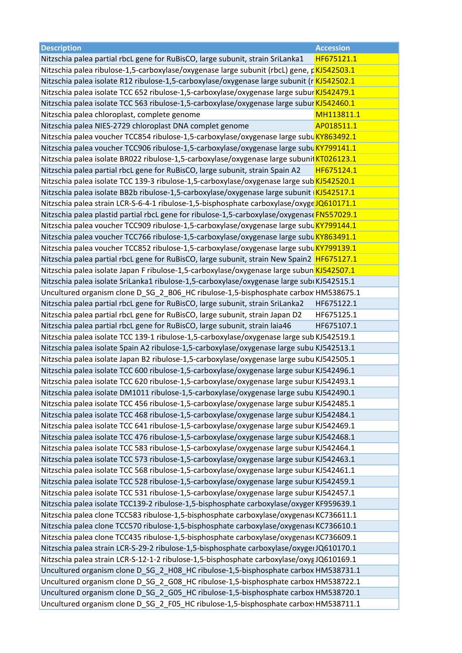| <b>Description</b>                                                                          | <b>Accession</b> |
|---------------------------------------------------------------------------------------------|------------------|
| Nitzschia palea partial rbcL gene for RuBisCO, large subunit, strain SriLanka1              | HF675121.1       |
| Nitzschia palea ribulose-1,5-carboxylase/oxygenase large subunit (rbcL) gene, rKJ542503.1   |                  |
| Nitzschia palea isolate R12 ribulose-1,5-carboxylase/oxygenase large subunit (r KJ542502.1  |                  |
| Nitzschia palea isolate TCC 652 ribulose-1,5-carboxylase/oxygenase large subur KJ542479.1   |                  |
| Nitzschia palea isolate TCC 563 ribulose-1,5-carboxylase/oxygenase large subur KJ542460.1   |                  |
| Nitzschia palea chloroplast, complete genome                                                | MH113811.1       |
| Nitzschia palea NIES-2729 chloroplast DNA complet genome                                    | AP018511.1       |
| Nitzschia palea voucher TCC854 ribulose-1,5-carboxylase/oxygenase large subu KY863492.1     |                  |
| Nitzschia palea voucher TCC906 ribulose-1,5-carboxylase/oxygenase large subu KY799141.1     |                  |
| Nitzschia palea isolate BR022 ribulose-1,5-carboxylase/oxygenase large subunil KT026123.1   |                  |
| Nitzschia palea partial rbcL gene for RuBisCO, large subunit, strain Spain A2               | HF675124.1       |
| Nitzschia palea isolate TCC 139-3 ribulose-1,5-carboxylase/oxygenase large sub KJ542520.1   |                  |
| Nitzschia palea isolate BB2b ribulose-1,5-carboxylase/oxygenase large subunit   KJ542517.1  |                  |
| Nitzschia palea strain LCR-S-6-4-1 ribulose-1,5-bisphosphate carboxylase/oxygeJQ610171.1    |                  |
| Nitzschia palea plastid partial rbcL gene for ribulose-1,5-carboxylase/oxygenase FN557029.1 |                  |
| Nitzschia palea voucher TCC909 ribulose-1,5-carboxylase/oxygenase large subu KY799144.1     |                  |
| Nitzschia palea voucher TCC766 ribulose-1,5-carboxylase/oxygenase large subu KY863491.1     |                  |
| Nitzschia palea voucher TCC852 ribulose-1,5-carboxylase/oxygenase large subu KY799139.1     |                  |
| Nitzschia palea partial rbcL gene for RuBisCO, large subunit, strain New Spain2 HF675127.1  |                  |
| Nitzschia palea isolate Japan F ribulose-1,5-carboxylase/oxygenase large subun KJ542507.1   |                  |
| Nitzschia palea isolate SriLanka1 ribulose-1,5-carboxylase/oxygenase large subi KJ542515.1  |                  |
| Uncultured organism clone D_SG_2_B06_HC ribulose-1,5-bisphosphate carbox HM538675.1         |                  |
| Nitzschia palea partial rbcL gene for RuBisCO, large subunit, strain SriLanka2              | HF675122.1       |
| Nitzschia palea partial rbcL gene for RuBisCO, large subunit, strain Japan D2               | HF675125.1       |
| Nitzschia palea partial rbcL gene for RuBisCO, large subunit, strain laia46                 | HF675107.1       |
| Nitzschia palea isolate TCC 139-1 ribulose-1,5-carboxylase/oxygenase large sub KJ542519.1   |                  |
| Nitzschia palea isolate Spain A2 ribulose-1,5-carboxylase/oxygenase large subu KJ542513.1   |                  |
| Nitzschia palea isolate Japan B2 ribulose-1,5-carboxylase/oxygenase large subu KJ542505.1   |                  |
| Nitzschia palea isolate TCC 600 ribulose-1,5-carboxylase/oxygenase large subur KJ542496.1   |                  |
| Nitzschia palea isolate TCC 620 ribulose-1,5-carboxylase/oxygenase large subur KJ542493.1   |                  |
| Nitzschia palea isolate DM1011 ribulose-1,5-carboxylase/oxygenase large subu KJ542490.1     |                  |
| Nitzschia palea isolate TCC 456 ribulose-1,5-carboxylase/oxygenase large subur KJ542485.1   |                  |
| Nitzschia palea isolate TCC 468 ribulose-1,5-carboxylase/oxygenase large subur KJ542484.1   |                  |
| Nitzschia palea isolate TCC 641 ribulose-1,5-carboxylase/oxygenase large subur KJ542469.1   |                  |
| Nitzschia palea isolate TCC 476 ribulose-1,5-carboxylase/oxygenase large subur KJ542468.1   |                  |
| Nitzschia palea isolate TCC 583 ribulose-1,5-carboxylase/oxygenase large subur KJ542464.1   |                  |
| Nitzschia palea isolate TCC 573 ribulose-1,5-carboxylase/oxygenase large subur KJ542463.1   |                  |
| Nitzschia palea isolate TCC 568 ribulose-1,5-carboxylase/oxygenase large subur KJ542461.1   |                  |
| Nitzschia palea isolate TCC 528 ribulose-1,5-carboxylase/oxygenase large subur KJ542459.1   |                  |
|                                                                                             |                  |
| Nitzschia palea isolate TCC 531 ribulose-1,5-carboxylase/oxygenase large subur KJ542457.1   |                  |
| Nitzschia palea isolate TCC139-2 ribulose-1,5-bisphosphate carboxylase/oxyger KF959639.1    |                  |
| Nitzschia palea clone TCC583 ribulose-1,5-bisphosphate carboxylase/oxygenas(KC736611.1      |                  |
| Nitzschia palea clone TCC570 ribulose-1,5-bisphosphate carboxylase/oxygenas(KC736610.1      |                  |
| Nitzschia palea clone TCC435 ribulose-1,5-bisphosphate carboxylase/oxygenas(KC736609.1      |                  |
| Nitzschia palea strain LCR-S-29-2 ribulose-1,5-bisphosphate carboxylase/oxygerJQ610170.1    |                  |
| Nitzschia palea strain LCR-S-12-1-2 ribulose-1,5-bisphosphate carboxylase/oxyeJQ610169.1    |                  |
| Uncultured organism clone D_SG_2_H08_HC ribulose-1,5-bisphosphate carbox HM538731.1         |                  |
| Uncultured organism clone D_SG_2_G08_HC ribulose-1,5-bisphosphate carbox HM538722.1         |                  |
| Uncultured organism clone D_SG_2_G05_HC ribulose-1,5-bisphosphate carbox HM538720.1         |                  |
| Uncultured organism clone D_SG_2_F05_HC ribulose-1,5-bisphosphate carbox HM538711.1         |                  |